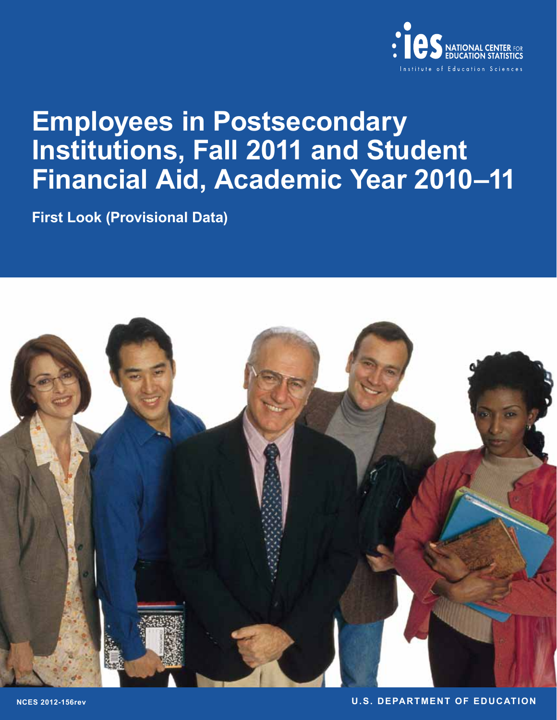

# **Employees in Postsecondary Institutions, Fall 2011 and Student Financial Aid, Academic Year 2010–11**

**First Look (Provisional Data)**



**NCES 2012-156rev U.S. DEPARTMENT OF EDUCATION**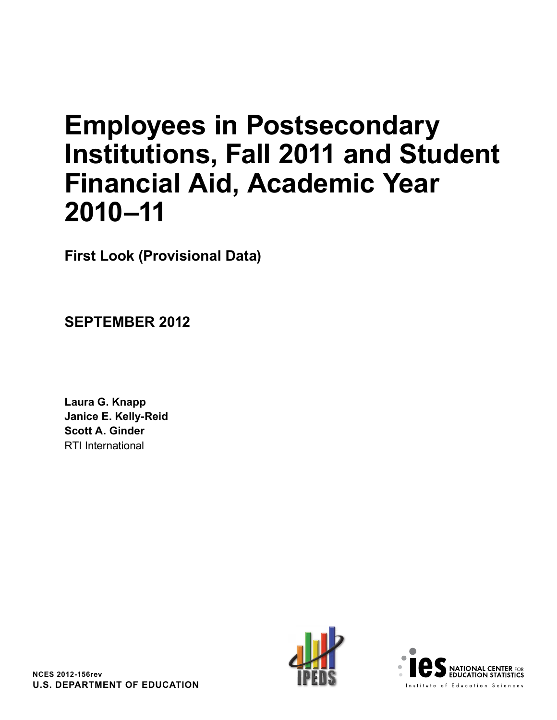# **Employees in Postsecondary Institutions, Fall 2011 and Student Financial Aid, Academic Year 2010–11**

**First Look (Provisional Data)**

**SEPTEMBER 2012**

**Laura G. Knapp Janice E. Kelly-Reid Scott A. Ginder** RTI International



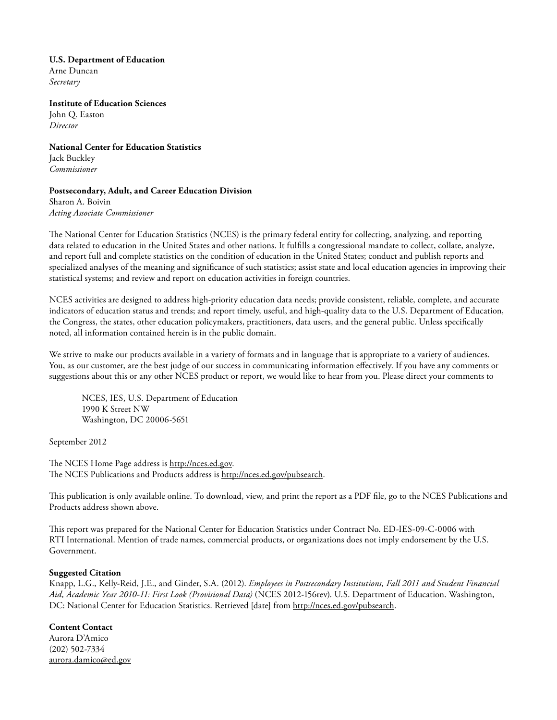## **U.S. Department of Education**

Arne Duncan *Secretary*

**Institute of Education Sciences** John Q. Easton

*Director*

**National Center for Education Statistics** Jack Buckley *Commissioner*

## **Postsecondary, Adult, and Career Education Division**

Sharon A. Boivin *Acting Associate Commissioner*

The National Center for Education Statistics (NCES) is the primary federal entity for collecting, analyzing, and reporting data related to education in the United States and other nations. It fulfills a congressional mandate to collect, collate, analyze, and report full and complete statistics on the condition of education in the United States; conduct and publish reports and specialized analyses of the meaning and significance of such statistics; assist state and local education agencies in improving their statistical systems; and review and report on education activities in foreign countries.

NCES activities are designed to address high-priority education data needs; provide consistent, reliable, complete, and accurate indicators of education status and trends; and report timely, useful, and high-quality data to the U.S. Department of Education, the Congress, the states, other education policymakers, practitioners, data users, and the general public. Unless specifically noted, all information contained herein is in the public domain.

We strive to make our products available in a variety of formats and in language that is appropriate to a variety of audiences. You, as our customer, are the best judge of our success in communicating information effectively. If you have any comments or suggestions about this or any other NCES product or report, we would like to hear from you. Please direct your comments to

NCES, IES, U.S. Department of Education 1990 K Street NW Washington, DC 20006-5651

September 2012

The NCES Home Page address is [http://nces.ed.gov.](http://nces.ed.gov) The NCES Publications and Products address is [http://nces.ed.gov/pubsearch.](http://nces.ed.gov/pubsearch)

This publication is only available online. To download, view, and print the report as a PDF file, go to the NCES Publications and Products address shown above.

This report was prepared for the National Center for Education Statistics under Contract No. ED-IES-09-C-0006 with RTI International. Mention of trade names, commercial products, or organizations does not imply endorsement by the U.S. Government.

## **Suggested Citation**

Knapp, L.G., Kelly-Reid, J.E., and Ginder, S.A. (2012). *Employees in Postsecondary Institutions, Fall 2011 and Student Financial Aid, Academic Year 2010-11: First Look (Provisional Data)* (NCES 2012-156rev). U.S. Department of Education. Washington, DC: National Center for Education Statistics. Retrieved [date] from http://nces.ed.gov/pubsearch.

## **Content Contact**

Aurora D'Amico (202) 502-7334 [aurora.damico@ed.gov](mailto: aurora.damico@ed.gov)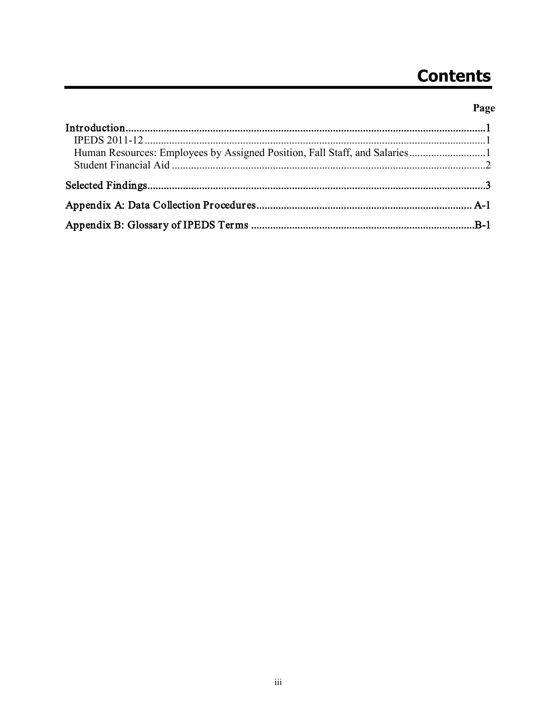# **Contents**

## Page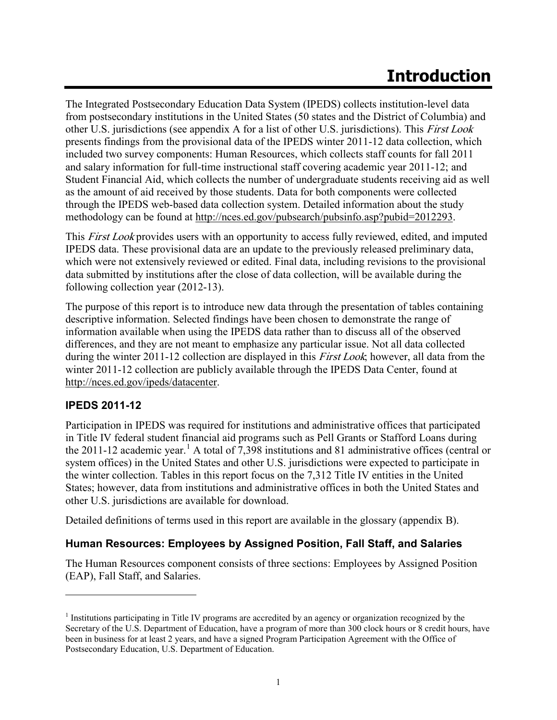## **Introduction**

The Integrated Postsecondary Education Data System (IPEDS) collects institution-level data from postsecondary institutions in the United States (50 states and the District of Columbia) and other U.S. jurisdictions (see appendix A for a list of other U.S. jurisdictions). This First Look presents findings from the provisional data of the IPEDS winter 2011-12 data collection, which included two survey components: Human Resources, which collects staff counts for fall 2011 and salary information for full-time instructional staff covering academic year 2011-12; and Student Financial Aid, which collects the number of undergraduate students receiving aid as well as the amount of aid received by those students. Data for both components were collected through the IPEDS web-based data collection system. Detailed information about the study methodology can be found at [http://nces.ed.gov/pubsearch/pubsinfo.asp?pubid=2012293.](http://nces.ed.gov/pubsearch/pubsinfo.asp?pubid=2012293)

This *First Look* provides users with an opportunity to access fully reviewed, edited, and imputed IPEDS data. These provisional data are an update to the previously released preliminary data, which were not extensively reviewed or edited. Final data, including revisions to the provisional data submitted by institutions after the close of data collection, will be available during the following collection year (2012-13).

The purpose of this report is to introduce new data through the presentation of tables containing descriptive information. Selected findings have been chosen to demonstrate the range of information available when using the IPEDS data rather than to discuss all of the observed differences, and they are not meant to emphasize any particular issue. Not all data collected during the winter 2011-12 collection are displayed in this *First Look*; however, all data from the winter 2011-12 collection are publicly available through the IPEDS Data Center, found at [http://nces.ed.gov/ipeds/datacenter.](http://nces.ed.gov/ipeds/datacenter)

## **IPEDS 2011-12**

 $\overline{a}$ 

Participation in IPEDS was required for institutions and administrative offices that participated in Title IV federal student financial aid programs such as Pell Grants or Stafford Loans during the 20[1](#page-5-0)1-12 academic year.<sup>1</sup> A total of 7,398 institutions and 81 administrative offices (central or system offices) in the United States and other U.S. jurisdictions were expected to participate in the winter collection. Tables in this report focus on the 7,312 Title IV entities in the United States; however, data from institutions and administrative offices in both the United States and other U.S. jurisdictions are available for download.

Detailed definitions of terms used in this report are available in the glossary (appendix B).

## **Human Resources: Employees by Assigned Position, Fall Staff, and Salaries**

The Human Resources component consists of three sections: Employees by Assigned Position (EAP), Fall Staff, and Salaries.

<span id="page-5-0"></span><sup>1</sup> Institutions participating in Title IV programs are accredited by an agency or organization recognized by the Secretary of the U.S. Department of Education, have a program of more than 300 clock hours or 8 credit hours, have been in business for at least 2 years, and have a signed Program Participation Agreement with the Office of Postsecondary Education, U.S. Department of Education.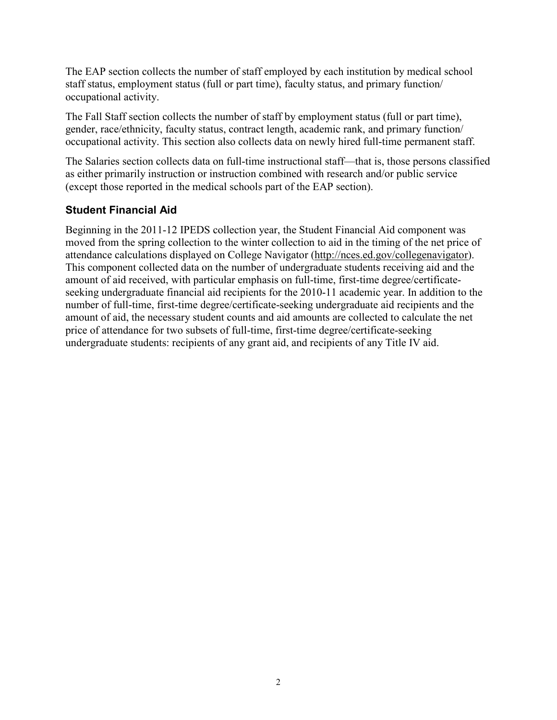The EAP section collects the number of staff employed by each institution by medical school staff status, employment status (full or part time), faculty status, and primary function/ occupational activity.

The Fall Staff section collects the number of staff by employment status (full or part time), gender, race/ethnicity, faculty status, contract length, academic rank, and primary function/ occupational activity. This section also collects data on newly hired full-time permanent staff.

The Salaries section collects data on full-time instructional staff—that is, those persons classified as either primarily instruction or instruction combined with research and/or public service (except those reported in the medical schools part of the EAP section).

## **Student Financial Aid**

Beginning in the 2011-12 IPEDS collection year, the Student Financial Aid component was moved from the spring collection to the winter collection to aid in the timing of the net price of attendance calculations displayed on College Navigator [\(http://nces.ed.gov/collegenavigator\)](http://nces.ed.gov/collegenavigator). This component collected data on the number of undergraduate students receiving aid and the amount of aid received, with particular emphasis on full-time, first-time degree/certificateseeking undergraduate financial aid recipients for the 2010-11 academic year. In addition to the number of full-time, first-time degree/certificate-seeking undergraduate aid recipients and the amount of aid, the necessary student counts and aid amounts are collected to calculate the net price of attendance for two subsets of full-time, first-time degree/certificate-seeking undergraduate students: recipients of any grant aid, and recipients of any Title IV aid.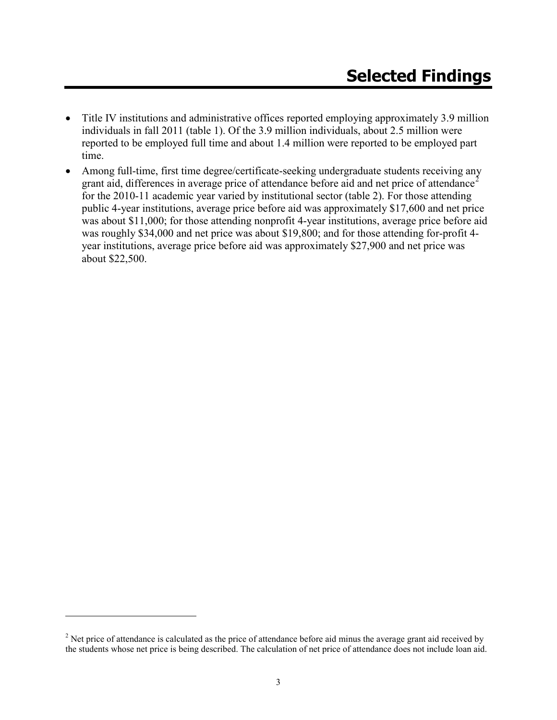- Title IV institutions and administrative offices reported employing approximately 3.9 million individuals in fall 2011 (table 1). Of the 3.9 million individuals, about 2.5 million were reported to be employed full time and about 1.4 million were reported to be employed part time.
- Among full-time, first time degree/certificate-seeking undergraduate students receiving any grant aid, differences in average price of attendance before aid and net price of attendance<sup>[2](#page-7-0)</sup> for the 2010-11 academic year varied by institutional sector (table 2). For those attending public 4-year institutions, average price before aid was approximately \$17,600 and net price was about \$11,000; for those attending nonprofit 4-year institutions, average price before aid was roughly \$34,000 and net price was about \$19,800; and for those attending for-profit 4 year institutions, average price before aid was approximately \$27,900 and net price was about \$22,500.

 $\overline{a}$ 

<span id="page-7-0"></span> $2$  Net price of attendance is calculated as the price of attendance before aid minus the average grant aid received by the students whose net price is being described. The calculation of net price of attendance does not include loan aid.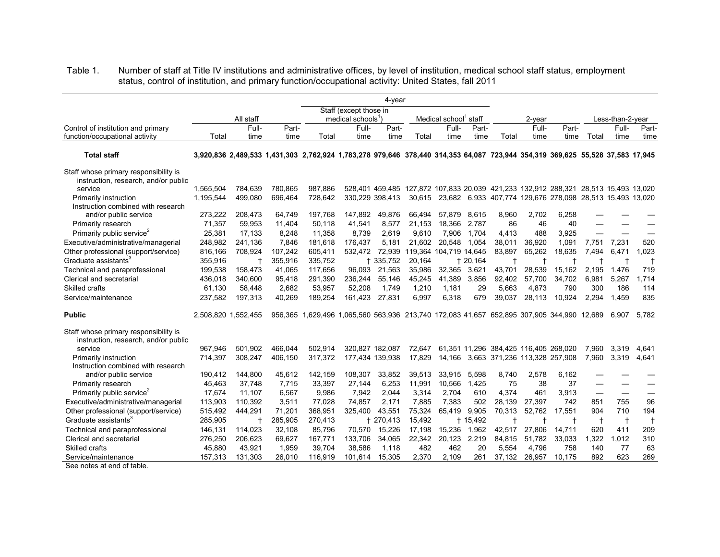Table 1. Number of staff at Title IV institutions and administrative offices, by level of institution, medical school staff status, employment status, control of institution, and primary function/occupational activity: United States, fall 2011

|                                                                               |           | 4-year                                                                                                                        |         |                                                                            |                              |                 |        |                                   |           |        |            |                                                                                     |             |                  |              |
|-------------------------------------------------------------------------------|-----------|-------------------------------------------------------------------------------------------------------------------------------|---------|----------------------------------------------------------------------------|------------------------------|-----------------|--------|-----------------------------------|-----------|--------|------------|-------------------------------------------------------------------------------------|-------------|------------------|--------------|
|                                                                               |           |                                                                                                                               |         |                                                                            | Staff (except those in       |                 |        |                                   |           |        |            |                                                                                     |             |                  |              |
|                                                                               |           | All staff                                                                                                                     |         |                                                                            | medical schools <sup>1</sup> |                 |        | Medical school <sup>1</sup> staff |           |        | $2$ -year  |                                                                                     |             | Less-than-2-year |              |
| Control of institution and primary                                            |           | Full-                                                                                                                         | Part-   |                                                                            | Full-                        | Part-           |        | Full-                             | Part-     |        | Full-      | Part-                                                                               |             | Full-            | Part-        |
| function/occupational activity                                                | Total     | time                                                                                                                          | time    | Total                                                                      | time                         | time            | Total  | time                              | time      | Total  | time       | time                                                                                | Total       | time             | time         |
| <b>Total staff</b>                                                            |           | 3,920,836 2,489,533 1,431,303 2,762,924 1,783,278 979,646 378,440 314,353 64,087 723,944 354,319 369,625 55,528 37,583 17,945 |         |                                                                            |                              |                 |        |                                   |           |        |            |                                                                                     |             |                  |              |
| Staff whose primary responsibility is<br>instruction, research, and/or public |           |                                                                                                                               |         |                                                                            |                              |                 |        |                                   |           |        |            |                                                                                     |             |                  |              |
| service                                                                       | 1,565,504 | 784.639                                                                                                                       | 780.865 | 987.886                                                                    |                              |                 |        |                                   |           |        |            | 528,401 459,485 127,872 107,833 20,039 421,233 132,912 288,321 28,513 15,493 13,020 |             |                  |              |
| Primarily instruction                                                         | 1,195,544 | 499.080                                                                                                                       | 696,464 | 728,642                                                                    |                              | 330,229 398,413 | 30,615 |                                   |           |        |            | 23,682 6,933 407,774 129,676 278,098 28,513 15,493 13,020                           |             |                  |              |
| Instruction combined with research                                            |           |                                                                                                                               |         |                                                                            |                              |                 |        |                                   |           |        |            |                                                                                     |             |                  |              |
| and/or public service                                                         | 273,222   | 208,473                                                                                                                       | 64,749  | 197,768                                                                    | 147,892                      | 49,876          | 66,494 | 57,879                            | 8,615     | 8,960  | 2,702      | 6,258                                                                               |             |                  |              |
| Primarily research                                                            | 71,357    | 59,953                                                                                                                        | 11,404  | 50,118                                                                     | 41,541                       | 8,577           | 21,153 | 18,366                            | 2.787     | 86     | 46         | 40                                                                                  |             |                  |              |
| Primarily public service <sup>2</sup>                                         | 25,381    | 17.133                                                                                                                        | 8,248   | 11.358                                                                     | 8.739                        | 2.619           | 9.610  | 7.906                             | 1.704     | 4.413  | 488        | 3.925                                                                               |             |                  |              |
| Executive/administrative/managerial                                           | 248,982   | 241,136                                                                                                                       | 7,846   | 181,618                                                                    | 176,437                      | 5,181           | 21.602 | 20,548                            | 1.054     | 38,011 | 36,920     | 1,091                                                                               | 7,751       | 7,231            | 520          |
| Other professional (support/service)                                          | 816,166   | 708,924                                                                                                                       | 107,242 | 605,411                                                                    | 532.472                      | 72,939          |        | 119,364 104,719 14,645            |           | 83,897 | 65,262     | 18,635                                                                              | 7,494       | 6,471            | .023         |
| Graduate assistants <sup>3</sup>                                              | 355,916   |                                                                                                                               | 355,916 | 335,752                                                                    |                              | + 335,752       | 20,164 |                                   | $+20,164$ |        | $^\dagger$ |                                                                                     |             | $\mathsf{t}$     | $\mathsf{t}$ |
| Technical and paraprofessional                                                | 199,538   | 158,473                                                                                                                       | 41,065  | 117,656                                                                    | 96.093                       | 21,563          | 35,986 | 32,365                            | 3,621     | 43,701 | 28,539     | 15,162                                                                              | 2,195       | 1,476            | 719          |
| Clerical and secretarial                                                      | 436,018   | 340.600                                                                                                                       | 95,418  | 291,390                                                                    | 236,244                      | 55.146          | 45,245 | 41.389                            | 3,856     | 92,402 | 57.700     | 34.702                                                                              | 6.981       | 5,267            | 1,714        |
| Skilled crafts                                                                | 61,130    | 58,448                                                                                                                        | 2,682   | 53,957                                                                     | 52,208                       | 1.749           | 1,210  | 1,181                             | 29        | 5.663  | 4,873      | 790                                                                                 | 300         | 186              | 114          |
| Service/maintenance                                                           | 237,582   | 197,313                                                                                                                       | 40,269  | 189,254                                                                    | 161,423                      | 27,831          | 6,997  | 6,318                             | 679       | 39.037 | 28,113     | 10.924                                                                              | 2.294       | 1.459            | 835          |
| <b>Public</b>                                                                 |           | 2,508,820 1,552,455                                                                                                           | 956.365 | 1,629,496 1,065,560 563,936 213,740 172,083 41,657 652,895 307,905 344,990 |                              |                 |        |                                   |           |        |            |                                                                                     | 12.689      | 6.907            | 5,782        |
| Staff whose primary responsibility is<br>instruction, research, and/or public |           |                                                                                                                               |         |                                                                            |                              |                 |        |                                   |           |        |            |                                                                                     |             |                  |              |
| service                                                                       | 967.946   | 501.902                                                                                                                       | 466.044 | 502.914                                                                    |                              | 320.827 182.087 | 72,647 |                                   |           |        |            | 61,351 11,296 384,425 116,405 268,020                                               | 7,960       | 3,319            | 4,641        |
| Primarily instruction                                                         | 714,397   | 308,247                                                                                                                       | 406,150 | 317,372                                                                    |                              | 177,434 139,938 | 17,829 | 14.166                            |           |        |            | 3,663 371,236 113,328 257,908                                                       | 7.960       | 3,319            | 4.641        |
| Instruction combined with research                                            |           |                                                                                                                               |         |                                                                            |                              |                 |        |                                   |           |        |            |                                                                                     |             |                  |              |
| and/or public service                                                         | 190,412   | 144,800                                                                                                                       | 45,612  | 142,159                                                                    | 108,307                      | 33,852          | 39,513 | 33,915                            | 5,598     | 8,740  | 2,578      | 6,162                                                                               |             |                  |              |
| Primarily research                                                            | 45,463    | 37,748                                                                                                                        | 7,715   | 33,397                                                                     | 27,144                       | 6,253           | 11,991 | 10,566                            | 1,425     | 75     | 38         | 37                                                                                  |             |                  |              |
| Primarily public service <sup>2</sup>                                         | 17.674    | 11.107                                                                                                                        | 6.567   | 9.986                                                                      | 7.942                        | 2.044           | 3,314  | 2.704                             | 610       | 4.374  | 461        | 3.913                                                                               |             |                  |              |
| Executive/administrative/managerial                                           | 113,903   | 110,392                                                                                                                       | 3,511   | 77,028                                                                     | 74,857                       | 2.171           | 7,885  | 7,383                             | 502       | 28,139 | 27,397     | 742                                                                                 | 851         | 755              | 96           |
| Other professional (support/service)                                          | 515,492   | 444.291                                                                                                                       | 71,201  | 368,951                                                                    | 325.400                      | 43,551          | 75,324 | 65.419                            | 9,905     | 70,313 | 52,762     | 17,551                                                                              | 904         | 710              | 194          |
| Graduate assistants <sup>3</sup>                                              | 285,905   |                                                                                                                               | 285,905 | 270,413                                                                    |                              | + 270,413       | 15,492 |                                   | $+15,492$ |        | t          | $^\dagger$                                                                          | $\mathbf t$ | $\ddagger$       | $\ddagger$   |
| Technical and paraprofessional                                                | 146,131   | 114,023                                                                                                                       | 32,108  | 85,796                                                                     | 70,570                       | 15,226          | 17,198 | 15,236                            | 1,962     | 42,517 | 27,806     | 14,711                                                                              | 620         | 411              | 209          |
| Clerical and secretarial                                                      | 276,250   | 206,623                                                                                                                       | 69,627  | 167,771                                                                    | 133,706                      | 34,065          | 22,342 | 20,123                            | 2,219     | 84,815 | 51,782     | 33,033                                                                              | 1,322       | 1,012            | 310          |
| Skilled crafts                                                                | 45,880    | 43,921                                                                                                                        | 1,959   | 39,704                                                                     | 38,586                       | 1,118           | 482    | 462                               | 20        | 5,554  | 4,796      | 758                                                                                 | 140         | 77               | 63           |
| Service/maintenance                                                           | 157,313   | 131.303                                                                                                                       | 26,010  | 116.919                                                                    | 101.614                      | 15.305          | 2,370  | 2,109                             | 261       | 37.132 | 26.957     | 10,175                                                                              | 892         | 623              | 269          |

See notes at end of table.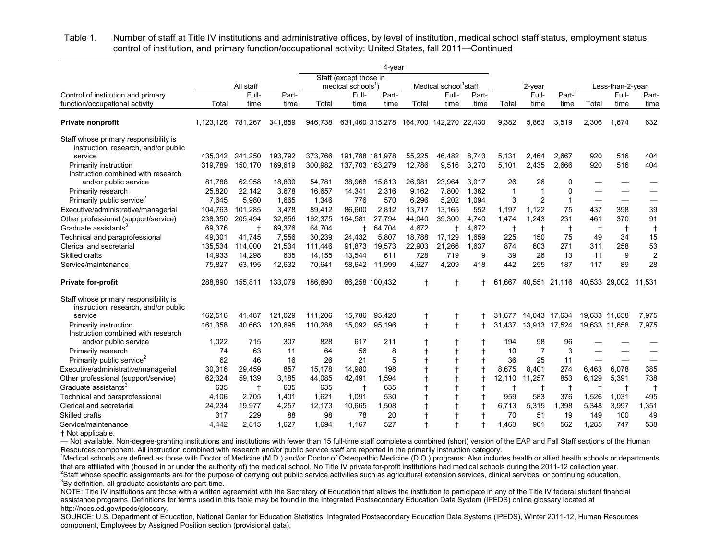Table 1. Number of staff at Title IV institutions and administrative offices, by level of institution, medical school staff status, employment status, control of institution, and primary function/occupational activity: United States, fall 2011—Continued

| Staff (except those in<br>Medical school <sup>1</sup> staff<br>All staff<br>medical schools <sup>1</sup><br>2-year<br>Less-than-2-year<br>Control of institution and primary<br>Full-<br>Part-<br>Full-<br>Full-<br>Part-<br>Full-<br>Part-<br>Part-<br>Full-<br>Part-<br>function/occupational activity<br>Total<br>time<br>Total<br>time<br>time<br>Total<br>time<br>time<br>Total<br>time<br>Total<br>time<br>time<br>time<br>time<br>632<br>1.674<br>341,859<br>946.738<br>631,460 315,278 164,700 142,270 22,430<br>9,382<br>5.863<br>3,519<br>2,306<br><b>Private nonprofit</b><br>1.123.126<br>781,267<br>Staff whose primary responsibility is<br>instruction, research, and/or public<br>service<br>435.042<br>193,792<br>373,766<br>191,788 181,978<br>8,743<br>920<br>516<br>404<br>241,250<br>55,225<br>46,482<br>5,131<br>2,464<br>2,667<br>3,270<br>2,435<br>920<br>516<br>404<br>319,789<br>150,170<br>169,619<br>300,982<br>137,703 163,279<br>12,786<br>9,516<br>5,101<br>2,666<br>Primarily instruction<br>Instruction combined with research<br>18,830<br>26<br>26<br>81,788<br>62,958<br>54,781<br>38,968<br>15,813<br>26,981<br>23,964<br>3,017<br>$\Omega$<br>and/or public service<br>25,820<br>3,678<br>Primarily research<br>22,142<br>16,657<br>14,341<br>2,316<br>9,162<br>7,800<br>1,362<br>$\mathbf{1}$<br>$\mathbf 1$<br>$\Omega$<br>$\overline{2}$<br>Primarily public service <sup>2</sup><br>1.665<br>1.094<br>3<br>7,645<br>5.980<br>1,346<br>776<br>570<br>6.296<br>5,202<br>$\mathbf 1$<br>39<br>Executive/administrative/managerial<br>3,478<br>86.600<br>13,165<br>552<br>1,197<br>1,122<br>75<br>437<br>398<br>104,763<br>101.285<br>89,412<br>2,812<br>13,717<br>1.474<br>231<br>370<br>91<br>238,350<br>32,856<br>192,375<br>164,581<br>27.794<br>44,040<br>39,300<br>4.740<br>1.243<br>461<br>205.494 |                                      |  |  |  |  |
|-------------------------------------------------------------------------------------------------------------------------------------------------------------------------------------------------------------------------------------------------------------------------------------------------------------------------------------------------------------------------------------------------------------------------------------------------------------------------------------------------------------------------------------------------------------------------------------------------------------------------------------------------------------------------------------------------------------------------------------------------------------------------------------------------------------------------------------------------------------------------------------------------------------------------------------------------------------------------------------------------------------------------------------------------------------------------------------------------------------------------------------------------------------------------------------------------------------------------------------------------------------------------------------------------------------------------------------------------------------------------------------------------------------------------------------------------------------------------------------------------------------------------------------------------------------------------------------------------------------------------------------------------------------------------------------------------------------------------------------------------------------------------------------------------------------------------------------------------|--------------------------------------|--|--|--|--|
|                                                                                                                                                                                                                                                                                                                                                                                                                                                                                                                                                                                                                                                                                                                                                                                                                                                                                                                                                                                                                                                                                                                                                                                                                                                                                                                                                                                                                                                                                                                                                                                                                                                                                                                                                                                                                                                 |                                      |  |  |  |  |
|                                                                                                                                                                                                                                                                                                                                                                                                                                                                                                                                                                                                                                                                                                                                                                                                                                                                                                                                                                                                                                                                                                                                                                                                                                                                                                                                                                                                                                                                                                                                                                                                                                                                                                                                                                                                                                                 |                                      |  |  |  |  |
|                                                                                                                                                                                                                                                                                                                                                                                                                                                                                                                                                                                                                                                                                                                                                                                                                                                                                                                                                                                                                                                                                                                                                                                                                                                                                                                                                                                                                                                                                                                                                                                                                                                                                                                                                                                                                                                 |                                      |  |  |  |  |
|                                                                                                                                                                                                                                                                                                                                                                                                                                                                                                                                                                                                                                                                                                                                                                                                                                                                                                                                                                                                                                                                                                                                                                                                                                                                                                                                                                                                                                                                                                                                                                                                                                                                                                                                                                                                                                                 |                                      |  |  |  |  |
|                                                                                                                                                                                                                                                                                                                                                                                                                                                                                                                                                                                                                                                                                                                                                                                                                                                                                                                                                                                                                                                                                                                                                                                                                                                                                                                                                                                                                                                                                                                                                                                                                                                                                                                                                                                                                                                 |                                      |  |  |  |  |
|                                                                                                                                                                                                                                                                                                                                                                                                                                                                                                                                                                                                                                                                                                                                                                                                                                                                                                                                                                                                                                                                                                                                                                                                                                                                                                                                                                                                                                                                                                                                                                                                                                                                                                                                                                                                                                                 |                                      |  |  |  |  |
|                                                                                                                                                                                                                                                                                                                                                                                                                                                                                                                                                                                                                                                                                                                                                                                                                                                                                                                                                                                                                                                                                                                                                                                                                                                                                                                                                                                                                                                                                                                                                                                                                                                                                                                                                                                                                                                 |                                      |  |  |  |  |
|                                                                                                                                                                                                                                                                                                                                                                                                                                                                                                                                                                                                                                                                                                                                                                                                                                                                                                                                                                                                                                                                                                                                                                                                                                                                                                                                                                                                                                                                                                                                                                                                                                                                                                                                                                                                                                                 |                                      |  |  |  |  |
|                                                                                                                                                                                                                                                                                                                                                                                                                                                                                                                                                                                                                                                                                                                                                                                                                                                                                                                                                                                                                                                                                                                                                                                                                                                                                                                                                                                                                                                                                                                                                                                                                                                                                                                                                                                                                                                 |                                      |  |  |  |  |
|                                                                                                                                                                                                                                                                                                                                                                                                                                                                                                                                                                                                                                                                                                                                                                                                                                                                                                                                                                                                                                                                                                                                                                                                                                                                                                                                                                                                                                                                                                                                                                                                                                                                                                                                                                                                                                                 |                                      |  |  |  |  |
|                                                                                                                                                                                                                                                                                                                                                                                                                                                                                                                                                                                                                                                                                                                                                                                                                                                                                                                                                                                                                                                                                                                                                                                                                                                                                                                                                                                                                                                                                                                                                                                                                                                                                                                                                                                                                                                 |                                      |  |  |  |  |
|                                                                                                                                                                                                                                                                                                                                                                                                                                                                                                                                                                                                                                                                                                                                                                                                                                                                                                                                                                                                                                                                                                                                                                                                                                                                                                                                                                                                                                                                                                                                                                                                                                                                                                                                                                                                                                                 |                                      |  |  |  |  |
|                                                                                                                                                                                                                                                                                                                                                                                                                                                                                                                                                                                                                                                                                                                                                                                                                                                                                                                                                                                                                                                                                                                                                                                                                                                                                                                                                                                                                                                                                                                                                                                                                                                                                                                                                                                                                                                 | Other professional (support/service) |  |  |  |  |
| Graduate assistants <sup>3</sup><br>69,376<br>69,376<br>64,704<br>4,672<br>4,672<br>$\ddagger$<br>64,704<br>$\ddagger$<br>$\ddagger$<br>$\ddagger$<br>$\mathsf{t}$<br>$^\dagger$                                                                                                                                                                                                                                                                                                                                                                                                                                                                                                                                                                                                                                                                                                                                                                                                                                                                                                                                                                                                                                                                                                                                                                                                                                                                                                                                                                                                                                                                                                                                                                                                                                                                |                                      |  |  |  |  |
| 15<br>7,556<br>225<br>150<br>75<br>34<br>49,301<br>41,745<br>30,239<br>24,432<br>5,807<br>18,788<br>17,129<br>1,659<br>49<br>Technical and paraprofessional                                                                                                                                                                                                                                                                                                                                                                                                                                                                                                                                                                                                                                                                                                                                                                                                                                                                                                                                                                                                                                                                                                                                                                                                                                                                                                                                                                                                                                                                                                                                                                                                                                                                                     |                                      |  |  |  |  |
| 53<br>21,534<br>91,873<br>21,266<br>1,637<br>874<br>603<br>271<br>258<br>Clerical and secretarial<br>135,534<br>114,000<br>19,573<br>22,903<br>311<br>111,446                                                                                                                                                                                                                                                                                                                                                                                                                                                                                                                                                                                                                                                                                                                                                                                                                                                                                                                                                                                                                                                                                                                                                                                                                                                                                                                                                                                                                                                                                                                                                                                                                                                                                   |                                      |  |  |  |  |
| 635<br>728<br>9<br>39<br>26<br>13<br>11<br>9<br><b>Skilled crafts</b><br>14,933<br>14,298<br>13,544<br>611<br>719<br>14,155                                                                                                                                                                                                                                                                                                                                                                                                                                                                                                                                                                                                                                                                                                                                                                                                                                                                                                                                                                                                                                                                                                                                                                                                                                                                                                                                                                                                                                                                                                                                                                                                                                                                                                                     |                                      |  |  |  |  |
| 255<br>28<br>12,632<br>4,627<br>4,209<br>442<br>187<br>117<br>89<br>75,827<br>63,195<br>70,641<br>58,642<br>11,999<br>418<br>Service/maintenance                                                                                                                                                                                                                                                                                                                                                                                                                                                                                                                                                                                                                                                                                                                                                                                                                                                                                                                                                                                                                                                                                                                                                                                                                                                                                                                                                                                                                                                                                                                                                                                                                                                                                                |                                      |  |  |  |  |
| <b>Private for-profit</b><br>133,079<br>186,690<br>86,258 100,432<br>$\ddagger$<br>ŧ<br>40,551 21,116<br>288,890<br>155,811<br>61,667<br>40,533 29,002<br>11,531                                                                                                                                                                                                                                                                                                                                                                                                                                                                                                                                                                                                                                                                                                                                                                                                                                                                                                                                                                                                                                                                                                                                                                                                                                                                                                                                                                                                                                                                                                                                                                                                                                                                                |                                      |  |  |  |  |
| Staff whose primary responsibility is                                                                                                                                                                                                                                                                                                                                                                                                                                                                                                                                                                                                                                                                                                                                                                                                                                                                                                                                                                                                                                                                                                                                                                                                                                                                                                                                                                                                                                                                                                                                                                                                                                                                                                                                                                                                           |                                      |  |  |  |  |
| instruction, research, and/or public                                                                                                                                                                                                                                                                                                                                                                                                                                                                                                                                                                                                                                                                                                                                                                                                                                                                                                                                                                                                                                                                                                                                                                                                                                                                                                                                                                                                                                                                                                                                                                                                                                                                                                                                                                                                            |                                      |  |  |  |  |
| 162,516<br>121,029<br>111,206<br>15,786<br>19,633 11,658<br>service<br>41.487<br>95,420<br>$^\dagger$<br>14,043 17,634<br>7,975<br>31.677                                                                                                                                                                                                                                                                                                                                                                                                                                                                                                                                                                                                                                                                                                                                                                                                                                                                                                                                                                                                                                                                                                                                                                                                                                                                                                                                                                                                                                                                                                                                                                                                                                                                                                       |                                      |  |  |  |  |
| $\ddagger$<br>40,663<br>120,695<br>110,288<br>15,092<br>95,196<br>$\ddagger$<br>13,913 17,524<br>7,975<br>161,358<br>31.437<br>19,633 11,658<br>Primarily instruction<br>Instruction combined with research                                                                                                                                                                                                                                                                                                                                                                                                                                                                                                                                                                                                                                                                                                                                                                                                                                                                                                                                                                                                                                                                                                                                                                                                                                                                                                                                                                                                                                                                                                                                                                                                                                     |                                      |  |  |  |  |
| 1,022<br>715<br>307<br>828<br>211<br>194<br>98<br>96<br>617<br>and/or public service                                                                                                                                                                                                                                                                                                                                                                                                                                                                                                                                                                                                                                                                                                                                                                                                                                                                                                                                                                                                                                                                                                                                                                                                                                                                                                                                                                                                                                                                                                                                                                                                                                                                                                                                                            |                                      |  |  |  |  |
| 63<br>56<br>8<br>$\overline{7}$<br>3<br>74<br>11<br>64<br>$^\dagger$<br>10<br>Primarily research                                                                                                                                                                                                                                                                                                                                                                                                                                                                                                                                                                                                                                                                                                                                                                                                                                                                                                                                                                                                                                                                                                                                                                                                                                                                                                                                                                                                                                                                                                                                                                                                                                                                                                                                                |                                      |  |  |  |  |
| 5<br>Primarily public service <sup>2</sup><br>62<br>46<br>26<br>21<br>36<br>25<br>11<br>16                                                                                                                                                                                                                                                                                                                                                                                                                                                                                                                                                                                                                                                                                                                                                                                                                                                                                                                                                                                                                                                                                                                                                                                                                                                                                                                                                                                                                                                                                                                                                                                                                                                                                                                                                      |                                      |  |  |  |  |
| 385<br>Executive/administrative/managerial<br>30,316<br>29,459<br>857<br>15.178<br>14,980<br>198<br>8.675<br>8.401<br>274<br>6,463<br>6,078                                                                                                                                                                                                                                                                                                                                                                                                                                                                                                                                                                                                                                                                                                                                                                                                                                                                                                                                                                                                                                                                                                                                                                                                                                                                                                                                                                                                                                                                                                                                                                                                                                                                                                     |                                      |  |  |  |  |
| 738<br>62.324<br>3.185<br>1,594<br>12,110<br>11,257<br>853<br>6,129<br>5,391<br>Other professional (support/service)<br>59,139<br>44.085<br>42,491<br>$\overline{1}$                                                                                                                                                                                                                                                                                                                                                                                                                                                                                                                                                                                                                                                                                                                                                                                                                                                                                                                                                                                                                                                                                                                                                                                                                                                                                                                                                                                                                                                                                                                                                                                                                                                                            |                                      |  |  |  |  |
| Graduate assistants <sup>3</sup><br>635<br>635<br>635<br>635<br>$\ddagger$<br>$\mathbf +$<br>$\ddagger$<br>$^\dagger$<br>$\mathsf{t}$<br>$\mathsf{t}$                                                                                                                                                                                                                                                                                                                                                                                                                                                                                                                                                                                                                                                                                                                                                                                                                                                                                                                                                                                                                                                                                                                                                                                                                                                                                                                                                                                                                                                                                                                                                                                                                                                                                           |                                      |  |  |  |  |
| 583<br>1,401<br>1,621<br>530<br>959<br>1,031<br>495<br>Technical and paraprofessional<br>4,106<br>2,705<br>1,091<br>376<br>1,526                                                                                                                                                                                                                                                                                                                                                                                                                                                                                                                                                                                                                                                                                                                                                                                                                                                                                                                                                                                                                                                                                                                                                                                                                                                                                                                                                                                                                                                                                                                                                                                                                                                                                                                |                                      |  |  |  |  |
| 10,665<br>1,508<br>6,713<br>5,315<br>3,997<br>1,351<br>Clerical and secretarial<br>24,234<br>19,977<br>4,257<br>12,173<br>1,398<br>5,348                                                                                                                                                                                                                                                                                                                                                                                                                                                                                                                                                                                                                                                                                                                                                                                                                                                                                                                                                                                                                                                                                                                                                                                                                                                                                                                                                                                                                                                                                                                                                                                                                                                                                                        |                                      |  |  |  |  |
| 229<br>98<br>78<br>20<br>70<br>51<br>100<br>49<br>Skilled crafts<br>317<br>88<br>19<br>149                                                                                                                                                                                                                                                                                                                                                                                                                                                                                                                                                                                                                                                                                                                                                                                                                                                                                                                                                                                                                                                                                                                                                                                                                                                                                                                                                                                                                                                                                                                                                                                                                                                                                                                                                      |                                      |  |  |  |  |
| 2.815<br>1.627<br>1.694<br>1.167<br>527<br>1.463<br>901<br>562<br>1.285<br>747<br>538<br>4.442<br>Service/maintenance                                                                                                                                                                                                                                                                                                                                                                                                                                                                                                                                                                                                                                                                                                                                                                                                                                                                                                                                                                                                                                                                                                                                                                                                                                                                                                                                                                                                                                                                                                                                                                                                                                                                                                                           |                                      |  |  |  |  |

† Not applicable.

— Not available. Non-degree-granting institutions and institutions with fewer than 15 full-time staff complete a combined (short) version of the EAP and Fall Staff sections of the Human Resources component. All instruction combined with research and/or public service staff are reported in the primarily instruction category. <sup>1</sup>

<sup>1</sup>Medical schools are defined as those with Doctor of Medicine (M.D.) and/or Doctor of Osteopathic Medicine (D.O.) programs. Also includes health or allied health schools or departments that are affiliated with (housed in or under the authority of) the medical school. No Title IV private for-profit institutions had medical schools during the 2011-12 collection year. <sup>2</sup>Staff whose specific assignments are for the purpose of carrying out public service activities such as agricultural extension services, clinical services, or continuing education.  $3$ By definition, all graduate assistants are part-time.

NOTE: Title IV institutions are those with a written agreement with the Secretary of Education that allows the institution to participate in any of the Title IV federal student financial assistance programs. Definitions for terms used in this table may be found in the Integrated Postsecondary Education Data System (IPEDS) online glossary located at [http://nces.ed.gov/ipeds/glossary.](http://nces.ed.gov/ipeds/glossary)

SOURCE: U.S. Department of Education, National Center for Education Statistics, Integrated Postsecondary Education Data Systems (IPEDS), Winter 2011-12, Human Resources component, Employees by Assigned Position section (provisional data).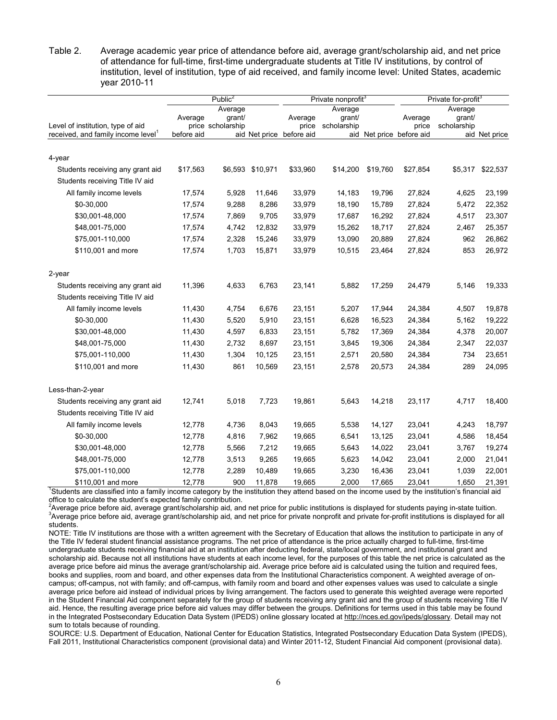Table 2. Average academic year price of attendance before aid, average grant/scholarship aid, and net price of attendance for full-time, first-time undergraduate students at Title IV institutions, by control of institution, level of institution, type of aid received, and family income level: United States, academic year 2010-11

|                                                |            | $\overline{\text{Public}}^2$           |                  |                          | Private nonprofit <sup>3</sup>   |          | Private for-profit <sup>3</sup> |                                  |               |  |
|------------------------------------------------|------------|----------------------------------------|------------------|--------------------------|----------------------------------|----------|---------------------------------|----------------------------------|---------------|--|
| Level of institution, type of aid              | Average    | Average<br>grant/<br>price scholarship |                  | Average<br>price         | Average<br>grant/<br>scholarship |          | Average<br>price                | Average<br>grant/<br>scholarship |               |  |
| received, and family income level <sup>1</sup> | before aid |                                        |                  | aid Net price before aid |                                  |          | aid Net price before aid        |                                  | aid Net price |  |
| 4-year                                         |            |                                        |                  |                          |                                  |          |                                 |                                  |               |  |
| Students receiving any grant aid               | \$17,563   |                                        | \$6,593 \$10,971 | \$33,960                 | \$14,200                         | \$19,760 | \$27,854                        | \$5,317                          | \$22,537      |  |
| Students receiving Title IV aid                |            |                                        |                  |                          |                                  |          |                                 |                                  |               |  |
| All family income levels                       | 17,574     | 5,928                                  | 11,646           | 33,979                   | 14,183                           | 19,796   | 27,824                          | 4,625                            | 23,199        |  |
| \$0-30,000                                     | 17,574     | 9,288                                  | 8,286            | 33,979                   | 18,190                           | 15,789   | 27,824                          | 5,472                            | 22,352        |  |
| \$30,001-48,000                                | 17,574     | 7,869                                  | 9,705            | 33,979                   | 17,687                           | 16,292   | 27,824                          | 4,517                            | 23,307        |  |
| \$48,001-75,000                                | 17,574     | 4,742                                  | 12,832           | 33,979                   | 15,262                           | 18,717   | 27,824                          | 2,467                            | 25,357        |  |
| \$75,001-110,000                               | 17,574     | 2,328                                  | 15,246           | 33,979                   | 13,090                           | 20,889   | 27,824                          | 962                              | 26,862        |  |
| \$110,001 and more                             | 17,574     | 1,703                                  | 15,871           | 33,979                   | 10,515                           | 23,464   | 27,824                          | 853                              | 26,972        |  |
| 2-year                                         |            |                                        |                  |                          |                                  |          |                                 |                                  |               |  |
| Students receiving any grant aid               | 11,396     | 4,633                                  | 6,763            | 23,141                   | 5,882                            | 17,259   | 24,479                          | 5,146                            | 19,333        |  |
| Students receiving Title IV aid                |            |                                        |                  |                          |                                  |          |                                 |                                  |               |  |
| All family income levels                       | 11,430     | 4,754                                  | 6,676            | 23,151                   | 5,207                            | 17,944   | 24,384                          | 4,507                            | 19,878        |  |
| \$0-30,000                                     | 11,430     | 5,520                                  | 5,910            | 23,151                   | 6,628                            | 16,523   | 24,384                          | 5,162                            | 19,222        |  |
| \$30,001-48,000                                | 11,430     | 4,597                                  | 6,833            | 23,151                   | 5,782                            | 17,369   | 24,384                          | 4,378                            | 20,007        |  |
| \$48,001-75,000                                | 11,430     | 2,732                                  | 8,697            | 23,151                   | 3,845                            | 19,306   | 24,384                          | 2,347                            | 22,037        |  |
| \$75,001-110,000                               | 11,430     | 1,304                                  | 10,125           | 23,151                   | 2,571                            | 20,580   | 24,384                          | 734                              | 23,651        |  |
| \$110,001 and more                             | 11,430     | 861                                    | 10,569           | 23,151                   | 2,578                            | 20,573   | 24,384                          | 289                              | 24,095        |  |
| Less-than-2-year                               |            |                                        |                  |                          |                                  |          |                                 |                                  |               |  |
| Students receiving any grant aid               | 12,741     | 5,018                                  | 7,723            | 19,861                   | 5,643                            | 14,218   | 23,117                          | 4,717                            | 18,400        |  |
| Students receiving Title IV aid                |            |                                        |                  |                          |                                  |          |                                 |                                  |               |  |
| All family income levels                       | 12,778     | 4,736                                  | 8,043            | 19,665                   | 5,538                            | 14,127   | 23,041                          | 4,243                            | 18,797        |  |
| \$0-30,000                                     | 12,778     | 4,816                                  | 7,962            | 19,665                   | 6,541                            | 13,125   | 23,041                          | 4,586                            | 18,454        |  |
| \$30,001-48,000                                | 12,778     | 5,566                                  | 7,212            | 19,665                   | 5,643                            | 14,022   | 23,041                          | 3,767                            | 19,274        |  |
| \$48,001-75,000                                | 12,778     | 3,513                                  | 9,265            | 19,665                   | 5,623                            | 14,042   | 23,041                          | 2,000                            | 21,041        |  |
| \$75,001-110,000                               | 12,778     | 2,289                                  | 10,489           | 19,665                   | 3,230                            | 16,436   | 23,041                          | 1,039                            | 22,001        |  |
| $4110,001$ and moro                            | 12779      | nnn.                                   | 11 979           | 10.665                   | nnn c                            | $17$ GGE | <b>22 041</b>                   | 1.650                            | 21.301        |  |

\$110,001 and more 12,778 900 11,878 19,665 23,041 3,000 17,665 23,041 1,650 21,391 1550 1550 17,665 23,041 1,650 21,391 1550 151,991 1,650 151,991 1,650 151,991 1,650 151,991 1,650 151,991 1,650 151,991 1,650 151,991 1,650 office to calculate the student's expected family contribution.

<sup>2</sup>Average price before aid, average grant/scholarship aid, and net price for public institutions is displayed for students paying in-state tuition.<br><sup>3</sup>Average price before aid, average grant/scholarship aid, and net pric <sup>3</sup>Average price before aid, average grant/scholarship aid, and net price for private nonprofit and private for-profit institutions is displayed for all students.

NOTE: Title IV institutions are those with a written agreement with the Secretary of Education that allows the institution to participate in any of the Title IV federal student financial assistance programs. The net price of attendance is the price actually charged to full-time, first-time undergraduate students receiving financial aid at an institution after deducting federal, state/local government, and institutional grant and scholarship aid. Because not all institutions have students at each income level, for the purposes of this table the net price is calculated as the average price before aid minus the average grant/scholarship aid. Average price before aid is calculated using the tuition and required fees, books and supplies, room and board, and other expenses data from the Institutional Characteristics component. A weighted average of oncampus; off-campus, not with family; and off-campus, with family room and board and other expenses values was used to calculate a single average price before aid instead of individual prices by living arrangement. The factors used to generate this weighted average were reported in the Student Financial Aid component separately for the group of students receiving any grant aid and the group of students receiving Title IV aid. Hence, the resulting average price before aid values may differ between the groups. Definitions for terms used in this table may be found in the Integrated Postsecondary Education Data System (IPEDS) online glossary located a[t http://nces.ed.gov/ipeds/glossary.](http://nces.ed.gov/ipeds/glossary/) Detail may not sum to totals because of rounding.

SOURCE: U.S. Department of Education, National Center for Education Statistics, Integrated Postsecondary Education Data System (IPEDS), Fall 2011, Institutional Characteristics component (provisional data) and Winter 2011-12, Student Financial Aid component (provisional data).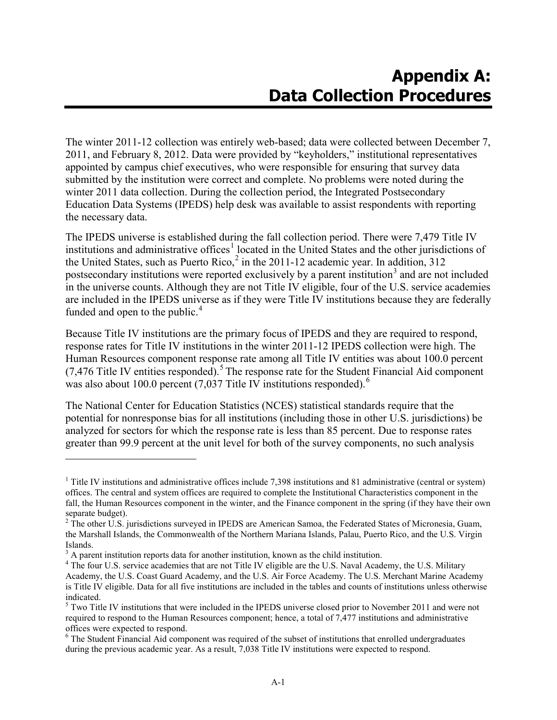The winter 2011-12 collection was entirely web-based; data were collected between December 7, 2011, and February 8, 2012. Data were provided by "keyholders," institutional representatives appointed by campus chief executives, who were responsible for ensuring that survey data submitted by the institution were correct and complete. No problems were noted during the winter 2011 data collection. During the collection period, the Integrated Postsecondary Education Data Systems (IPEDS) help desk was available to assist respondents with reporting the necessary data.

The IPEDS universe is established during the fall collection period. There were 7,479 Title IV institutions and administrative offices<sup>[1](#page-11-0)</sup> located in the United States and the other jurisdictions of the United States, such as Puerto Rico, $^2$  $^2$  in the 2011-12 academic year. In addition, 312 postsecondary institutions were reported exclusively by a parent institution<sup>[3](#page-11-2)</sup> and are not included in the universe counts. Although they are not Title IV eligible, four of the U.S. service academies are included in the IPEDS universe as if they were Title IV institutions because they are federally funded and open to the public. $4$ 

Because Title IV institutions are the primary focus of IPEDS and they are required to respond, response rates for Title IV institutions in the winter 2011-12 IPEDS collection were high. The Human Resources component response rate among all Title IV entities was about 100.0 percent  $(7,476)$  Title IV entities responded).<sup>[5](#page-11-4)</sup> The response rate for the Student Financial Aid component was also about 100.0 percent  $(7,037$  Title IV institutions responded).<sup>[6](#page-11-5)</sup>

The National Center for Education Statistics (NCES) statistical standards require that the potential for nonresponse bias for all institutions (including those in other U.S. jurisdictions) be analyzed for sectors for which the response rate is less than 85 percent. Due to response rates greater than 99.9 percent at the unit level for both of the survey components, no such analysis

 $\overline{a}$ 

<span id="page-11-0"></span> $1$  Title IV institutions and administrative offices include 7,398 institutions and 81 administrative (central or system) offices. The central and system offices are required to complete the Institutional Characteristics component in the fall, the Human Resources component in the winter, and the Finance component in the spring (if they have their own separate budget).

<span id="page-11-1"></span><sup>&</sup>lt;sup>2</sup> The other U.S. jurisdictions surveyed in IPEDS are American Samoa, the Federated States of Micronesia, Guam, the Marshall Islands, the Commonwealth of the Northern Mariana Islands, Palau, Puerto Rico, and the U.S. Virgin Islands.<br> $3$  A parent institution reports data for another institution, known as the child institution.

<span id="page-11-3"></span><span id="page-11-2"></span><sup>&</sup>lt;sup>4</sup> The four U.S. service academies that are not Title IV eligible are the U.S. Naval Academy, the U.S. Military Academy, the U.S. Coast Guard Academy, and the U.S. Air Force Academy. The U.S. Merchant Marine Academy is Title IV eligible. Data for all five institutions are included in the tables and counts of institutions unless otherwise indicated.

<span id="page-11-4"></span><sup>&</sup>lt;sup>5</sup> Two Title IV institutions that were included in the IPEDS universe closed prior to November 2011 and were not required to respond to the Human Resources component; hence, a total of 7,477 institutions and administrative offices were expected to respond.

<span id="page-11-5"></span><sup>&</sup>lt;sup>6</sup> The Student Financial Aid component was required of the subset of institutions that enrolled undergraduates during the previous academic year. As a result, 7,038 Title IV institutions were expected to respond.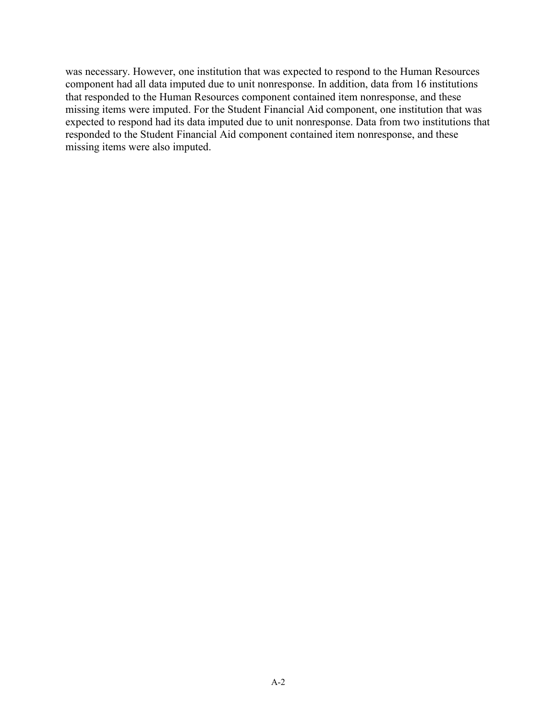was necessary. However, one institution that was expected to respond to the Human Resources component had all data imputed due to unit nonresponse. In addition, data from 16 institutions that responded to the Human Resources component contained item nonresponse, and these missing items were imputed. For the Student Financial Aid component, one institution that was expected to respond had its data imputed due to unit nonresponse. Data from two institutions that responded to the Student Financial Aid component contained item nonresponse, and these missing items were also imputed.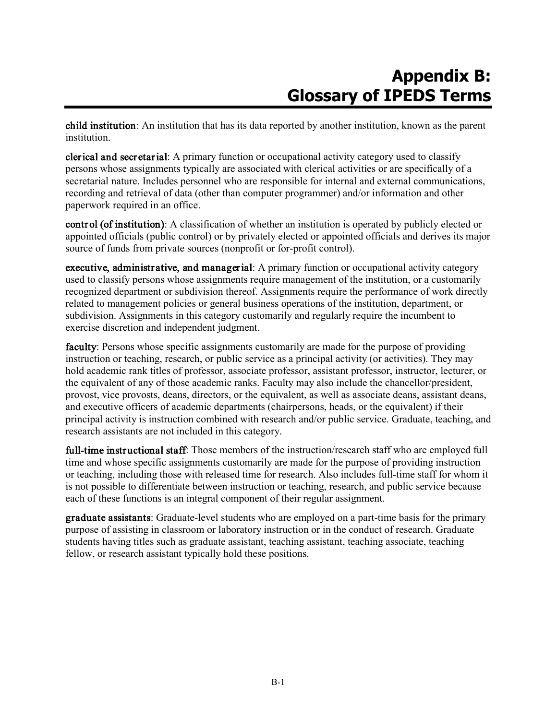## **Appendix B: Glossary of IPEDS Terms**

child institution: An institution that has its data reported by another institution, known as the parent institution.

clerical and secretarial: A primary function or occupational activity category used to classify persons whose assignments typically are associated with clerical activities or are specifically of a secretarial nature. Includes personnel who are responsible for internal and external communications, recording and retrieval of data (other than computer programmer) and/or information and other paperwork required in an office.

control (of institution): A classification of whether an institution is operated by publicly elected or appointed officials (public control) or by privately elected or appointed officials and derives its major source of funds from private sources (nonprofit or for-profit control).

executive, administrative, and managerial: A primary function or occupational activity category used to classify persons whose assignments require management of the institution, or a customarily recognized department or subdivision thereof. Assignments require the performance of work directly related to management policies or general business operations of the institution, department, or subdivision. Assignments in this category customarily and regularly require the incumbent to exercise discretion and independent judgment.

faculty: Persons whose specific assignments customarily are made for the purpose of providing instruction or teaching, research, or public service as a principal activity (or activities). They may hold academic rank titles of professor, associate professor, assistant professor, instructor, lecturer, or the equivalent of any of those academic ranks. Faculty may also include the chancellor/president, provost, vice provosts, deans, directors, or the equivalent, as well as associate deans, assistant deans, and executive officers of academic departments (chairpersons, heads, or the equivalent) if their principal activity is instruction combined with research and/or public service. Graduate, teaching, and research assistants are not included in this category.

full-time instructional staff: Those members of the instruction/research staff who are employed full time and whose specific assignments customarily are made for the purpose of providing instruction or teaching, including those with released time for research. Also includes full-time staff for whom it is not possible to differentiate between instruction or teaching, research, and public service because each of these functions is an integral component of their regular assignment.

graduate assistants: Graduate-level students who are employed on a part-time basis for the primary purpose of assisting in classroom or laboratory instruction or in the conduct of research. Graduate students having titles such as graduate assistant, teaching assistant, teaching associate, teaching fellow, or research assistant typically hold these positions.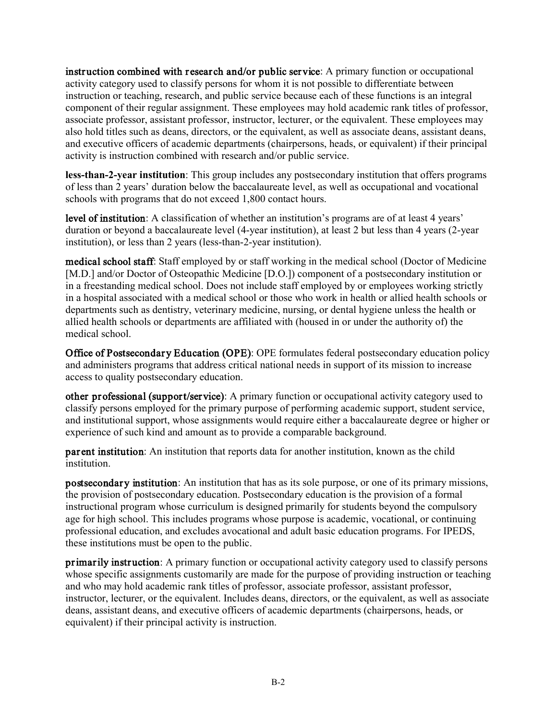instruction combined with research and/or public service: A primary function or occupational activity category used to classify persons for whom it is not possible to differentiate between instruction or teaching, research, and public service because each of these functions is an integral component of their regular assignment. These employees may hold academic rank titles of professor, associate professor, assistant professor, instructor, lecturer, or the equivalent. These employees may also hold titles such as deans, directors, or the equivalent, as well as associate deans, assistant deans, and executive officers of academic departments (chairpersons, heads, or equivalent) if their principal activity is instruction combined with research and/or public service.

**less-than-2-year institution**: This group includes any postsecondary institution that offers programs of less than 2 years' duration below the baccalaureate level, as well as occupational and vocational schools with programs that do not exceed 1,800 contact hours.

level of institution: A classification of whether an institution's programs are of at least 4 years' duration or beyond a baccalaureate level (4-year institution), at least 2 but less than 4 years (2-year institution), or less than 2 years (less-than-2-year institution).

medical school staff: Staff employed by or staff working in the medical school (Doctor of Medicine [M.D.] and/or Doctor of Osteopathic Medicine [D.O.]) component of a postsecondary institution or in a freestanding medical school. Does not include staff employed by or employees working strictly in a hospital associated with a medical school or those who work in health or allied health schools or departments such as dentistry, veterinary medicine, nursing, or dental hygiene unless the health or allied health schools or departments are affiliated with (housed in or under the authority of) the medical school.

Office of Postsecondary Education (OPE): OPE formulates federal postsecondary education policy and administers programs that address critical national needs in support of its mission to increase access to quality postsecondary education.

other professional (support/service): A primary function or occupational activity category used to classify persons employed for the primary purpose of performing academic support, student service, and institutional support, whose assignments would require either a baccalaureate degree or higher or experience of such kind and amount as to provide a comparable background.

parent institution: An institution that reports data for another institution, known as the child institution.

postsecondary institution: An institution that has as its sole purpose, or one of its primary missions, the provision of postsecondary education. Postsecondary education is the provision of a formal instructional program whose curriculum is designed primarily for students beyond the compulsory age for high school. This includes programs whose purpose is academic, vocational, or continuing professional education, and excludes avocational and adult basic education programs. For IPEDS, these institutions must be open to the public.

primarily instruction: A primary function or occupational activity category used to classify persons whose specific assignments customarily are made for the purpose of providing instruction or teaching and who may hold academic rank titles of professor, associate professor, assistant professor, instructor, lecturer, or the equivalent. Includes deans, directors, or the equivalent, as well as associate deans, assistant deans, and executive officers of academic departments (chairpersons, heads, or equivalent) if their principal activity is instruction.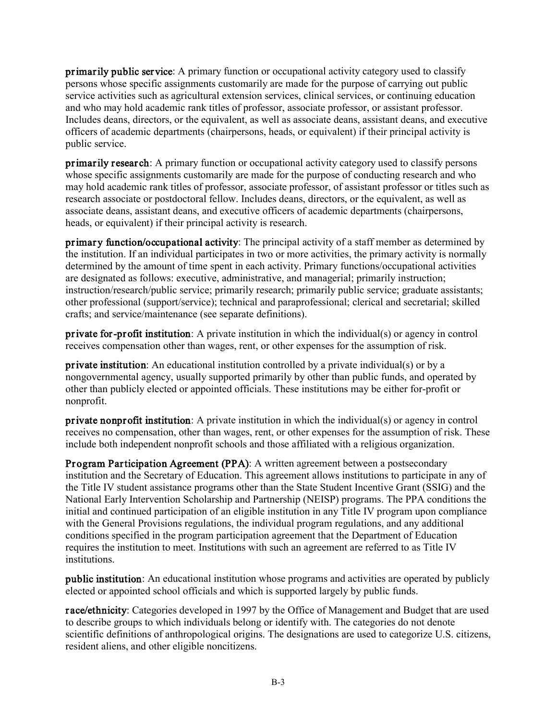primarily public service: A primary function or occupational activity category used to classify persons whose specific assignments customarily are made for the purpose of carrying out public service activities such as agricultural extension services, clinical services, or continuing education and who may hold academic rank titles of professor, associate professor, or assistant professor. Includes deans, directors, or the equivalent, as well as associate deans, assistant deans, and executive officers of academic departments (chairpersons, heads, or equivalent) if their principal activity is public service.

primarily research: A primary function or occupational activity category used to classify persons whose specific assignments customarily are made for the purpose of conducting research and who may hold academic rank titles of professor, associate professor, of assistant professor or titles such as research associate or postdoctoral fellow. Includes deans, directors, or the equivalent, as well as associate deans, assistant deans, and executive officers of academic departments (chairpersons, heads, or equivalent) if their principal activity is research.

primary function/occupational activity: The principal activity of a staff member as determined by the institution. If an individual participates in two or more activities, the primary activity is normally determined by the amount of time spent in each activity. Primary functions/occupational activities are designated as follows: executive, administrative, and managerial; primarily instruction; instruction/research/public service; primarily research; primarily public service; graduate assistants; other professional (support/service); technical and paraprofessional; clerical and secretarial; skilled crafts; and service/maintenance (see separate definitions).

private for-profit institution: A private institution in which the individual(s) or agency in control receives compensation other than wages, rent, or other expenses for the assumption of risk.

private institution: An educational institution controlled by a private individual(s) or by a nongovernmental agency, usually supported primarily by other than public funds, and operated by other than publicly elected or appointed officials. These institutions may be either for-profit or nonprofit.

private nonprofit institution: A private institution in which the individual(s) or agency in control receives no compensation, other than wages, rent, or other expenses for the assumption of risk. These include both independent nonprofit schools and those affiliated with a religious organization.

Program Participation Agreement (PPA): A written agreement between a postsecondary institution and the Secretary of Education. This agreement allows institutions to participate in any of the Title IV student assistance programs other than the State Student Incentive Grant (SSIG) and the National Early Intervention Scholarship and Partnership (NEISP) programs. The PPA conditions the initial and continued participation of an eligible institution in any Title IV program upon compliance with the General Provisions regulations, the individual program regulations, and any additional conditions specified in the program participation agreement that the Department of Education requires the institution to meet. Institutions with such an agreement are referred to as Title IV institutions.

public institution: An educational institution whose programs and activities are operated by publicly elected or appointed school officials and which is supported largely by public funds.

race/ethnicity: Categories developed in 1997 by the Office of Management and Budget that are used to describe groups to which individuals belong or identify with. The categories do not denote scientific definitions of anthropological origins. The designations are used to categorize U.S. citizens, resident aliens, and other eligible noncitizens.